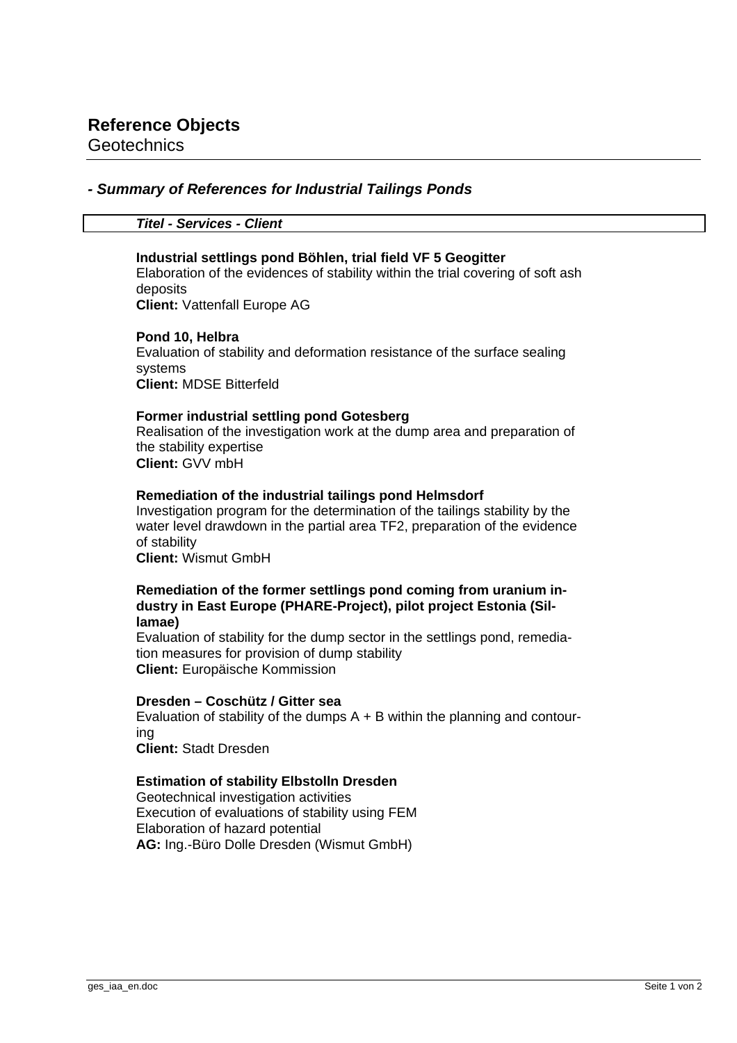**Geotechnics** 

# *- Summary of References for Industrial Tailings Ponds*

*Titel - Services - Client*

### **Industrial settlings pond Böhlen, trial field VF 5 Geogitter**

Elaboration of the evidences of stability within the trial covering of soft ash deposits **Client:** Vattenfall Europe AG

#### **Pond 10, Helbra**

Evaluation of stability and deformation resistance of the surface sealing systems **Client:** MDSE Bitterfeld

### **Former industrial settling pond Gotesberg**

Realisation of the investigation work at the dump area and preparation of the stability expertise **Client:** GVV mbH

### **Remediation of the industrial tailings pond Helmsdorf**

Investigation program for the determination of the tailings stability by the water level drawdown in the partial area TF2, preparation of the evidence of stability

**Client:** Wismut GmbH

#### **Remediation of the former settlings pond coming from uranium industry in East Europe (PHARE-Project), pilot project Estonia (Sillamae)**

Evaluation of stability for the dump sector in the settlings pond, remediation measures for provision of dump stability **Client:** Europäische Kommission

### **Dresden – Coschütz / Gitter sea**

Evaluation of stability of the dumps  $A + B$  within the planning and contouring **Client:** Stadt Dresden

## **Estimation of stability Elbstolln Dresden**

Geotechnical investigation activities Execution of evaluations of stability using FEM Elaboration of hazard potential **AG:** Ing.-Büro Dolle Dresden (Wismut GmbH)